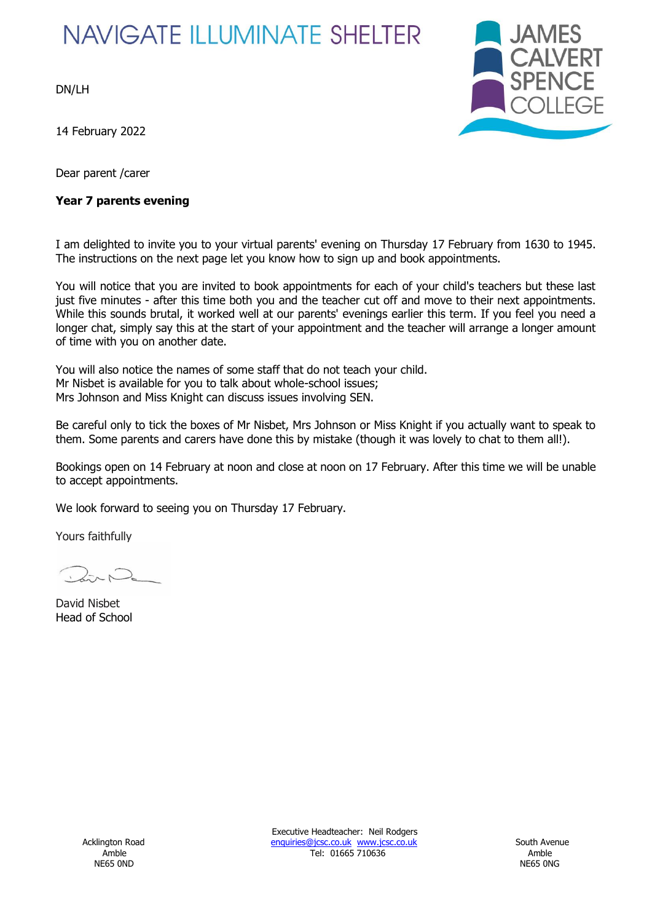# **NAVIGATE ILLUMINATE SHELTER**

DN/LH

14 February 2022

Dear parent /carer

### **Year 7 parents evening**



I am delighted to invite you to your virtual parents' evening on Thursday 17 February from 1630 to 1945. The instructions on the next page let you know how to sign up and book appointments.

You will notice that you are invited to book appointments for each of your child's teachers but these last just five minutes - after this time both you and the teacher cut off and move to their next appointments. While this sounds brutal, it worked well at our parents' evenings earlier this term. If you feel you need a longer chat, simply say this at the start of your appointment and the teacher will arrange a longer amount of time with you on another date.

You will also notice the names of some staff that do not teach your child. Mr Nisbet is available for you to talk about whole-school issues; Mrs Johnson and Miss Knight can discuss issues involving SEN.

Be careful only to tick the boxes of Mr Nisbet, Mrs Johnson or Miss Knight if you actually want to speak to them. Some parents and carers have done this by mistake (though it was lovely to chat to them all!).

Bookings open on 14 February at noon and close at noon on 17 February. After this time we will be unable to accept appointments.

We look forward to seeing you on Thursday 17 February.

Yours faithfully

David Nisbet Head of School

Executive Headteacher: Neil Rodgers Acklington Road **Enquiries@jcsc.co.uk www.jcsc.co.uk** South Avenue Amble **Amble** 2016 2017 12: 01665 710636 2017 12: 01665 710636